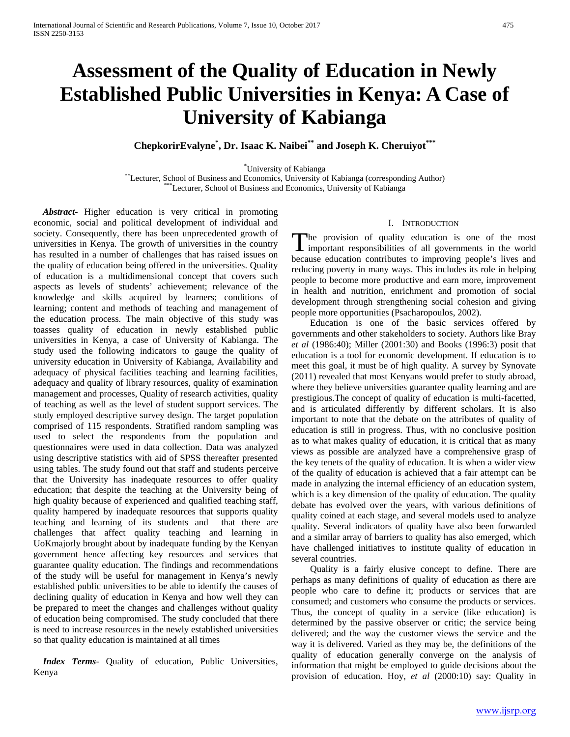# **Assessment of the Quality of Education in Newly Established Public Universities in Kenya: A Case of University of Kabianga**

**ChepkorirEvalyne\* , Dr. Isaac K. Naibei\*\* and Joseph K. Cheruiyot\*\*\*** 

<sup>\*</sup>University of Kabianga

\*Lecturer, School of Business and Economics, University of Kabianga (corresponding Author) \*\*\*Lecturer, School of Business and Economics, University of Kabianga

 *Abstract***-** Higher education is very critical in promoting economic, social and political development of individual and society. Consequently, there has been unprecedented growth of universities in Kenya. The growth of universities in the country has resulted in a number of challenges that has raised issues on the quality of education being offered in the universities. Quality of education is a multidimensional concept that covers such aspects as levels of students' achievement; relevance of the knowledge and skills acquired by learners; conditions of learning; content and methods of teaching and management of the education process. The main objective of this study was toasses quality of education in newly established public universities in Kenya, a case of University of Kabianga. The study used the following indicators to gauge the quality of university education in University of Kabianga, Availability and adequacy of physical facilities teaching and learning facilities, adequacy and quality of library resources, quality of examination management and processes, Quality of research activities, quality of teaching as well as the level of student support services. The study employed descriptive survey design. The target population comprised of 115 respondents. Stratified random sampling was used to select the respondents from the population and questionnaires were used in data collection. Data was analyzed using descriptive statistics with aid of SPSS thereafter presented using tables. The study found out that staff and students perceive that the University has inadequate resources to offer quality education; that despite the teaching at the University being of high quality because of experienced and qualified teaching staff, quality hampered by inadequate resources that supports quality teaching and learning of its students and that there are challenges that affect quality teaching and learning in UoKmajorly brought about by inadequate funding by the Kenyan government hence affecting key resources and services that guarantee quality education. The findings and recommendations of the study will be useful for management in Kenya's newly established public universities to be able to identify the causes of declining quality of education in Kenya and how well they can be prepared to meet the changes and challenges without quality of education being compromised. The study concluded that there is need to increase resources in the newly established universities so that quality education is maintained at all times

 *Index Terms*- Quality of education, Public Universities, Kenya

### I. INTRODUCTION

The provision of quality education is one of the most The provision of quality education is one of the most important responsibilities of all governments in the world because education contributes to improving people's lives and reducing poverty in many ways. This includes its role in helping people to become more productive and earn more, improvement in health and nutrition, enrichment and promotion of social development through strengthening social cohesion and giving people more opportunities (Psacharopoulos, 2002).

 Education is one of the basic services offered by governments and other stakeholders to society. Authors like Bray *et al* (1986:40); Miller (2001:30) and Books (1996:3) posit that education is a tool for economic development. If education is to meet this goal, it must be of high quality. A survey by Synovate (2011) revealed that most Kenyans would prefer to study abroad, where they believe universities guarantee quality learning and are prestigious.The concept of quality of education is multi-facetted, and is articulated differently by different scholars. It is also important to note that the debate on the attributes of quality of education is still in progress. Thus, with no conclusive position as to what makes quality of education, it is critical that as many views as possible are analyzed have a comprehensive grasp of the key tenets of the quality of education. It is when a wider view of the quality of education is achieved that a fair attempt can be made in analyzing the internal efficiency of an education system, which is a key dimension of the quality of education. The quality debate has evolved over the years, with various definitions of quality coined at each stage, and several models used to analyze quality. Several indicators of quality have also been forwarded and a similar array of barriers to quality has also emerged, which have challenged initiatives to institute quality of education in several countries.

 Quality is a fairly elusive concept to define. There are perhaps as many definitions of quality of education as there are people who care to define it; products or services that are consumed; and customers who consume the products or services. Thus, the concept of quality in a service (like education) is determined by the passive observer or critic; the service being delivered; and the way the customer views the service and the way it is delivered. Varied as they may be, the definitions of the quality of education generally converge on the analysis of information that might be employed to guide decisions about the provision of education. Hoy, *et al* (2000:10) say: Quality in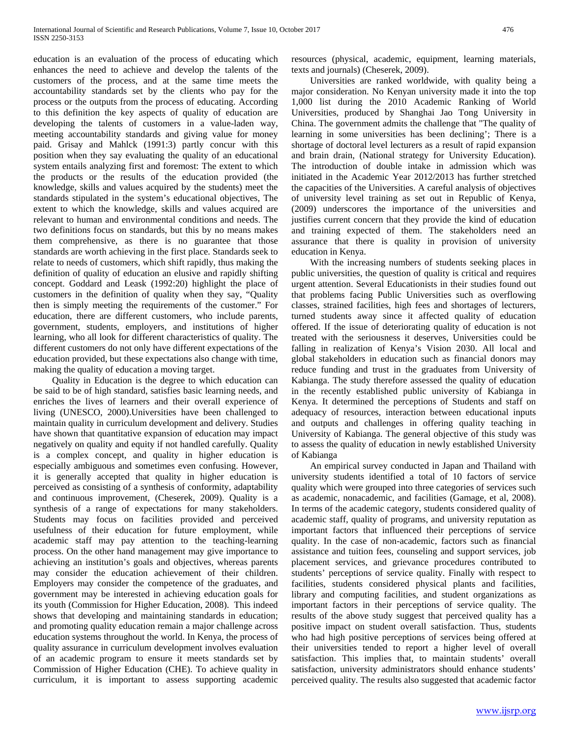education is an evaluation of the process of educating which enhances the need to achieve and develop the talents of the customers of the process, and at the same time meets the accountability standards set by the clients who pay for the process or the outputs from the process of educating. According to this definition the key aspects of quality of education are developing the talents of customers in a value-laden way, meeting accountability standards and giving value for money paid. Grisay and Mahlck (1991:3) partly concur with this position when they say evaluating the quality of an educational system entails analyzing first and foremost: The extent to which the products or the results of the education provided (the knowledge, skills and values acquired by the students) meet the standards stipulated in the system's educational objectives, The extent to which the knowledge, skills and values acquired are relevant to human and environmental conditions and needs. The two definitions focus on standards, but this by no means makes them comprehensive, as there is no guarantee that those standards are worth achieving in the first place. Standards seek to relate to needs of customers, which shift rapidly, thus making the definition of quality of education an elusive and rapidly shifting concept. Goddard and Leask (1992:20) highlight the place of customers in the definition of quality when they say, "Quality then is simply meeting the requirements of the customer." For education, there are different customers, who include parents, government, students, employers, and institutions of higher learning, who all look for different characteristics of quality. The different customers do not only have different expectations of the education provided, but these expectations also change with time, making the quality of education a moving target.

 Quality in Education is the degree to which education can be said to be of high standard, satisfies basic learning needs, and enriches the lives of learners and their overall experience of living (UNESCO, 2000).Universities have been challenged to maintain quality in curriculum development and delivery. Studies have shown that quantitative expansion of education may impact negatively on quality and equity if not handled carefully. Quality is a complex concept, and quality in higher education is especially ambiguous and sometimes even confusing. However, it is generally accepted that quality in higher education is perceived as consisting of a synthesis of conformity, adaptability and continuous improvement, (Cheserek, 2009). Quality is a synthesis of a range of expectations for many stakeholders. Students may focus on facilities provided and perceived usefulness of their education for future employment, while academic staff may pay attention to the teaching-learning process. On the other hand management may give importance to achieving an institution's goals and objectives, whereas parents may consider the education achievement of their children. Employers may consider the competence of the graduates, and government may be interested in achieving education goals for its youth (Commission for Higher Education, 2008). This indeed shows that developing and maintaining standards in education; and promoting quality education remain a major challenge across education systems throughout the world. In Kenya, the process of quality assurance in curriculum development involves evaluation of an academic program to ensure it meets standards set by Commission of Higher Education (CHE). To achieve quality in curriculum, it is important to assess supporting academic resources (physical, academic, equipment, learning materials, texts and journals) (Cheserek, 2009).

 Universities are ranked worldwide, with quality being a major consideration. No Kenyan university made it into the top 1,000 list during the 2010 Academic Ranking of World Universities, produced by Shanghai Jao Tong University in China. The government admits the challenge that "The quality of learning in some universities has been declining'; There is a shortage of doctoral level lecturers as a result of rapid expansion and brain drain, (National strategy for University Education). The introduction of double intake in admission which was initiated in the Academic Year 2012/2013 has further stretched the capacities of the Universities. A careful analysis of objectives of university level training as set out in Republic of Kenya, (2009) underscores the importance of the universities and justifies current concern that they provide the kind of education and training expected of them. The stakeholders need an assurance that there is quality in provision of university education in Kenya.

 With the increasing numbers of students seeking places in public universities, the question of quality is critical and requires urgent attention. Several Educationists in their studies found out that problems facing Public Universities such as overflowing classes, strained facilities, high fees and shortages of lecturers, turned students away since it affected quality of education offered. If the issue of deteriorating quality of education is not treated with the seriousness it deserves, Universities could be falling in realization of Kenya's Vision 2030. All local and global stakeholders in education such as financial donors may reduce funding and trust in the graduates from University of Kabianga. The study therefore assessed the quality of education in the recently established public university of Kabianga in Kenya. It determined the perceptions of Students and staff on adequacy of resources, interaction between educational inputs and outputs and challenges in offering quality teaching in University of Kabianga. The general objective of this study was to assess the quality of education in newly established University of Kabianga

 An empirical survey conducted in Japan and Thailand with university students identified a total of 10 factors of service quality which were grouped into three categories of services such as academic, nonacademic, and facilities (Gamage, et al, 2008). In terms of the academic category, students considered quality of academic staff, quality of programs, and university reputation as important factors that influenced their perceptions of service quality. In the case of non-academic, factors such as financial assistance and tuition fees, counseling and support services, job placement services, and grievance procedures contributed to students' perceptions of service quality. Finally with respect to facilities, students considered physical plants and facilities, library and computing facilities, and student organizations as important factors in their perceptions of service quality. The results of the above study suggest that perceived quality has a positive impact on student overall satisfaction. Thus, students who had high positive perceptions of services being offered at their universities tended to report a higher level of overall satisfaction. This implies that, to maintain students' overall satisfaction, university administrators should enhance students' perceived quality. The results also suggested that academic factor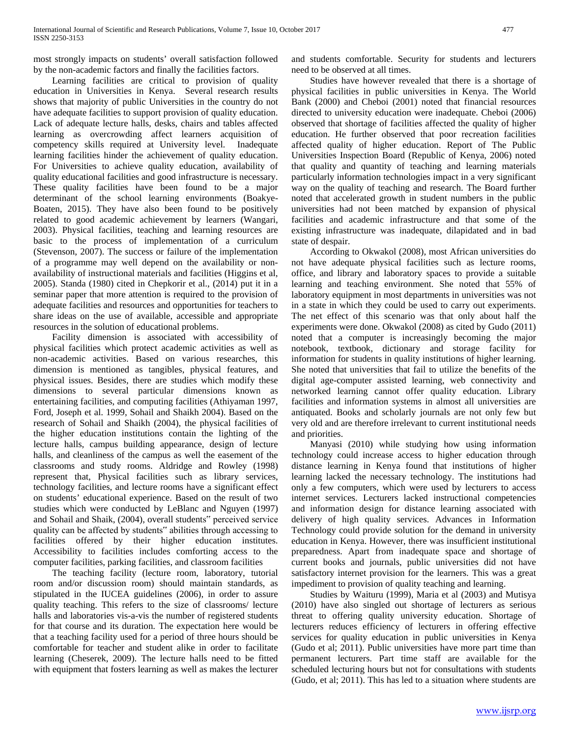most strongly impacts on students' overall satisfaction followed by the non-academic factors and finally the facilities factors.

 Learning facilities are critical to provision of quality education in Universities in Kenya. Several research results shows that majority of public Universities in the country do not have adequate facilities to support provision of quality education. Lack of adequate lecture halls, desks, chairs and tables affected learning as overcrowding affect learners acquisition of competency skills required at University level. Inadequate learning facilities hinder the achievement of quality education. For Universities to achieve quality education, availability of quality educational facilities and good infrastructure is necessary. These quality facilities have been found to be a major determinant of the school learning environments (Boakye-Boaten, 2015). They have also been found to be positively related to good academic achievement by learners (Wangari, 2003). Physical facilities, teaching and learning resources are basic to the process of implementation of a curriculum (Stevenson, 2007). The success or failure of the implementation of a programme may well depend on the availability or nonavailability of instructional materials and facilities (Higgins et al, 2005). Standa (1980) cited in Chepkorir et al., (2014) put it in a seminar paper that more attention is required to the provision of adequate facilities and resources and opportunities for teachers to share ideas on the use of available, accessible and appropriate resources in the solution of educational problems.

 Facility dimension is associated with accessibility of physical facilities which protect academic activities as well as non-academic activities. Based on various researches, this dimension is mentioned as tangibles, physical features, and physical issues. Besides, there are studies which modify these dimensions to several particular dimensions known as entertaining facilities, and computing facilities (Athiyaman 1997, Ford, Joseph et al. 1999, Sohail and Shaikh 2004). Based on the research of Sohail and Shaikh (2004), the physical facilities of the higher education institutions contain the lighting of the lecture halls, campus building appearance, design of lecture halls, and cleanliness of the campus as well the easement of the classrooms and study rooms. Aldridge and Rowley (1998) represent that, Physical facilities such as library services, technology facilities, and lecture rooms have a significant effect on students' educational experience. Based on the result of two studies which were conducted by LeBlanc and Nguyen (1997) and Sohail and Shaik, (2004), overall students" perceived service quality can be affected by students" abilities through accessing to facilities offered by their higher education institutes. Accessibility to facilities includes comforting access to the computer facilities, parking facilities, and classroom facilities

 The teaching facility (lecture room, laboratory, tutorial room and/or discussion room) should maintain standards, as stipulated in the IUCEA guidelines (2006), in order to assure quality teaching. This refers to the size of classrooms/ lecture halls and laboratories vis-a-vis the number of registered students for that course and its duration. The expectation here would be that a teaching facility used for a period of three hours should be comfortable for teacher and student alike in order to facilitate learning (Cheserek, 2009). The lecture halls need to be fitted with equipment that fosters learning as well as makes the lecturer

and students comfortable. Security for students and lecturers need to be observed at all times.

 Studies have however revealed that there is a shortage of physical facilities in public universities in Kenya. The World Bank (2000) and Cheboi (2001) noted that financial resources directed to university education were inadequate. Cheboi (2006) observed that shortage of facilities affected the quality of higher education. He further observed that poor recreation facilities affected quality of higher education. Report of The Public Universities Inspection Board (Republic of Kenya, 2006) noted that quality and quantity of teaching and learning materials particularly information technologies impact in a very significant way on the quality of teaching and research. The Board further noted that accelerated growth in student numbers in the public universities had not been matched by expansion of physical facilities and academic infrastructure and that some of the existing infrastructure was inadequate, dilapidated and in bad state of despair.

 According to Okwakol (2008), most African universities do not have adequate physical facilities such as lecture rooms, office, and library and laboratory spaces to provide a suitable learning and teaching environment. She noted that 55% of laboratory equipment in most departments in universities was not in a state in which they could be used to carry out experiments. The net effect of this scenario was that only about half the experiments were done. Okwakol (2008) as cited by Gudo (2011) noted that a computer is increasingly becoming the major notebook, textbook, dictionary and storage facility for information for students in quality institutions of higher learning. She noted that universities that fail to utilize the benefits of the digital age-computer assisted learning, web connectivity and networked learning cannot offer quality education. Library facilities and information systems in almost all universities are antiquated. Books and scholarly journals are not only few but very old and are therefore irrelevant to current institutional needs and priorities.

 Manyasi (2010) while studying how using information technology could increase access to higher education through distance learning in Kenya found that institutions of higher learning lacked the necessary technology. The institutions had only a few computers, which were used by lecturers to access internet services. Lecturers lacked instructional competencies and information design for distance learning associated with delivery of high quality services. Advances in Information Technology could provide solution for the demand in university education in Kenya. However, there was insufficient institutional preparedness. Apart from inadequate space and shortage of current books and journals, public universities did not have satisfactory internet provision for the learners. This was a great impediment to provision of quality teaching and learning.

 Studies by Waituru (1999), Maria et al (2003) and Mutisya (2010) have also singled out shortage of lecturers as serious threat to offering quality university education. Shortage of lecturers reduces efficiency of lecturers in offering effective services for quality education in public universities in Kenya (Gudo et al; 2011). Public universities have more part time than permanent lecturers. Part time staff are available for the scheduled lecturing hours but not for consultations with students (Gudo, et al; 2011). This has led to a situation where students are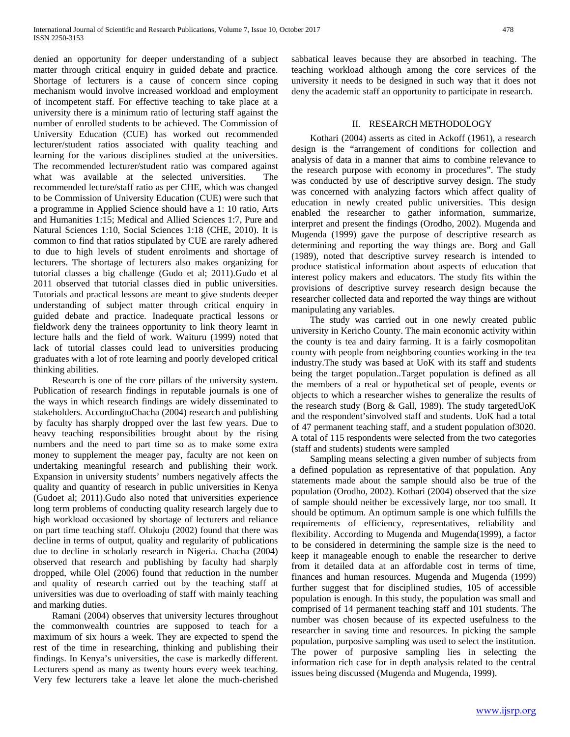denied an opportunity for deeper understanding of a subject matter through critical enquiry in guided debate and practice. Shortage of lecturers is a cause of concern since coping mechanism would involve increased workload and employment of incompetent staff. For effective teaching to take place at a university there is a minimum ratio of lecturing staff against the number of enrolled students to be achieved. The Commission of University Education (CUE) has worked out recommended lecturer/student ratios associated with quality teaching and learning for the various disciplines studied at the universities. The recommended lecturer/student ratio was compared against what was available at the selected universities. The recommended lecture/staff ratio as per CHE, which was changed to be Commission of University Education (CUE) were such that a programme in Applied Science should have a 1: 10 ratio, Arts and Humanities 1:15; Medical and Allied Sciences 1:7, Pure and Natural Sciences 1:10, Social Sciences 1:18 (CHE, 2010). It is common to find that ratios stipulated by CUE are rarely adhered to due to high levels of student enrolments and shortage of lecturers. The shortage of lecturers also makes organizing for tutorial classes a big challenge (Gudo et al; 2011).Gudo et al 2011 observed that tutorial classes died in public universities. Tutorials and practical lessons are meant to give students deeper understanding of subject matter through critical enquiry in guided debate and practice. Inadequate practical lessons or fieldwork deny the trainees opportunity to link theory learnt in lecture halls and the field of work. Waituru (1999) noted that lack of tutorial classes could lead to universities producing graduates with a lot of rote learning and poorly developed critical thinking abilities.

 Research is one of the core pillars of the university system. Publication of research findings in reputable journals is one of the ways in which research findings are widely disseminated to stakeholders. AccordingtoChacha (2004) research and publishing by faculty has sharply dropped over the last few years. Due to heavy teaching responsibilities brought about by the rising numbers and the need to part time so as to make some extra money to supplement the meager pay, faculty are not keen on undertaking meaningful research and publishing their work. Expansion in university students' numbers negatively affects the quality and quantity of research in public universities in Kenya (Gudoet al; 2011).Gudo also noted that universities experience long term problems of conducting quality research largely due to high workload occasioned by shortage of lecturers and reliance on part time teaching staff. Olukoju (2002) found that there was decline in terms of output, quality and regularity of publications due to decline in scholarly research in Nigeria. Chacha (2004) observed that research and publishing by faculty had sharply dropped, while Olel (2006) found that reduction in the number and quality of research carried out by the teaching staff at universities was due to overloading of staff with mainly teaching and marking duties.

 Ramani (2004) observes that university lectures throughout the commonwealth countries are supposed to teach for a maximum of six hours a week. They are expected to spend the rest of the time in researching, thinking and publishing their findings. In Kenya's universities, the case is markedly different. Lecturers spend as many as twenty hours every week teaching. Very few lecturers take a leave let alone the much-cherished sabbatical leaves because they are absorbed in teaching. The teaching workload although among the core services of the university it needs to be designed in such way that it does not deny the academic staff an opportunity to participate in research.

# II. RESEARCH METHODOLOGY

 Kothari (2004) asserts as cited in Ackoff (1961), a research design is the "arrangement of conditions for collection and analysis of data in a manner that aims to combine relevance to the research purpose with economy in procedures". The study was conducted by use of descriptive survey design. The study was concerned with analyzing factors which affect quality of education in newly created public universities. This design enabled the researcher to gather information, summarize, interpret and present the findings (Orodho, 2002). Mugenda and Mugenda (1999) gave the purpose of descriptive research as determining and reporting the way things are. Borg and Gall (1989), noted that descriptive survey research is intended to produce statistical information about aspects of education that interest policy makers and educators. The study fits within the provisions of descriptive survey research design because the researcher collected data and reported the way things are without manipulating any variables.

 The study was carried out in one newly created public university in Kericho County. The main economic activity within the county is tea and dairy farming. It is a fairly cosmopolitan county with people from neighboring counties working in the tea industry.The study was based at UoK with its staff and students being the target population..Target population is defined as all the members of a real or hypothetical set of people, events or objects to which a researcher wishes to generalize the results of the research study (Borg & Gall, 1989). The study targetedUoK and the respondent'sinvolved staff and students. UoK had a total of 47 permanent teaching staff, and a student population of3020. A total of 115 respondents were selected from the two categories (staff and students) students were sampled

 Sampling means selecting a given number of subjects from a defined population as representative of that population. Any statements made about the sample should also be true of the population (Orodho, 2002). Kothari (2004) observed that the size of sample should neither be excessively large, nor too small. It should be optimum. An optimum sample is one which fulfills the requirements of efficiency, representatives, reliability and flexibility. According to Mugenda and Mugenda(1999), a factor to be considered in determining the sample size is the need to keep it manageable enough to enable the researcher to derive from it detailed data at an affordable cost in terms of time, finances and human resources. Mugenda and Mugenda (1999) further suggest that for disciplined studies, 105 of accessible population is enough. In this study, the population was small and comprised of 14 permanent teaching staff and 101 students. The number was chosen because of its expected usefulness to the researcher in saving time and resources. In picking the sample population, purposive sampling was used to select the institution. The power of purposive sampling lies in selecting the information rich case for in depth analysis related to the central issues being discussed (Mugenda and Mugenda, 1999).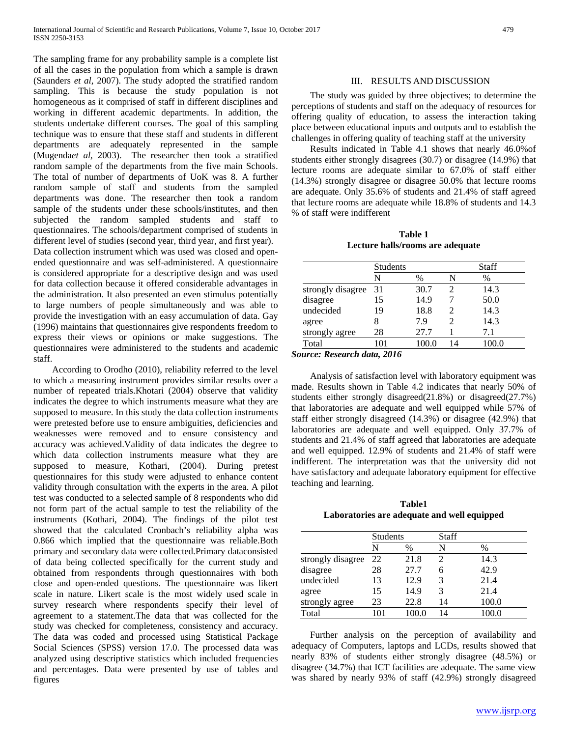The sampling frame for any probability sample is a complete list of all the cases in the population from which a sample is drawn (Saunders *et al*, 2007). The study adopted the stratified random sampling. This is because the study population is not homogeneous as it comprised of staff in different disciplines and working in different academic departments. In addition, the students undertake different courses. The goal of this sampling technique was to ensure that these staff and students in different departments are adequately represented in the sample (Mugenda*et al*, 2003). The researcher then took a stratified random sample of the departments from the five main Schools. The total of number of departments of UoK was 8. A further random sample of staff and students from the sampled departments was done. The researcher then took a random sample of the students under these schools/institutes, and then subjected the random sampled students and staff to questionnaires. The schools/department comprised of students in different level of studies (second year, third year, and first year). Data collection instrument which was used was closed and openended questionnaire and was self-administered. A questionnaire is considered appropriate for a descriptive design and was used for data collection because it offered considerable advantages in the administration. It also presented an even stimulus potentially to large numbers of people simultaneously and was able to provide the investigation with an easy accumulation of data. Gay (1996) maintains that questionnaires give respondents freedom to express their views or opinions or make suggestions. The questionnaires were administered to the students and academic staff.

 According to Orodho (2010), reliability referred to the level to which a measuring instrument provides similar results over a number of repeated trials.Khotari (2004) observe that validity indicates the degree to which instruments measure what they are supposed to measure. In this study the data collection instruments were pretested before use to ensure ambiguities, deficiencies and weaknesses were removed and to ensure consistency and accuracy was achieved.Validity of data indicates the degree to which data collection instruments measure what they are supposed to measure, Kothari, (2004). During pretest questionnaires for this study were adjusted to enhance content validity through consultation with the experts in the area. A pilot test was conducted to a selected sample of 8 respondents who did not form part of the actual sample to test the reliability of the instruments (Kothari, 2004). The findings of the pilot test showed that the calculated Cronbach's reliability alpha was 0.866 which implied that the questionnaire was reliable.Both primary and secondary data were collected.Primary dataconsisted of data being collected specifically for the current study and obtained from respondents through questionnaires with both close and open-ended questions. The questionnaire was likert scale in nature. Likert scale is the most widely used scale in survey research where respondents specify their level of agreement to a statement.The data that was collected for the study was checked for completeness, consistency and accuracy. The data was coded and processed using Statistical Package Social Sciences (SPSS) version 17.0. The processed data was analyzed using descriptive statistics which included frequencies and percentages. Data were presented by use of tables and figures

## III. RESULTS AND DISCUSSION

 The study was guided by three objectives; to determine the perceptions of students and staff on the adequacy of resources for offering quality of education, to assess the interaction taking place between educational inputs and outputs and to establish the challenges in offering quality of teaching staff at the university

 Results indicated in Table 4.1 shows that nearly 46.0%of students either strongly disagrees (30.7) or disagree (14.9%) that lecture rooms are adequate similar to 67.0% of staff either (14.3%) strongly disagree or disagree 50.0% that lecture rooms are adequate. Only 35.6% of students and 21.4% of staff agreed that lecture rooms are adequate while 18.8% of students and 14.3 % of staff were indifferent

**Table 1 Lecture halls/rooms are adequate**

|                   | <b>Students</b> |      | <b>Staff</b> |       |
|-------------------|-----------------|------|--------------|-------|
|                   | N               | $\%$ | N            | %     |
| strongly disagree | 31              | 30.7 | 2            | 14.3  |
| disagree          | 15              | 14.9 |              | 50.0  |
| undecided         | 19              | 18.8 | 2            | 14.3  |
| agree             |                 | 7.9  |              | 14.3  |
| strongly agree    | 28              | 27.7 |              | 7.1   |
| Total             | 101             |      |              | 100.0 |

*Source: Research data, 2016*

 Analysis of satisfaction level with laboratory equipment was made. Results shown in Table 4.2 indicates that nearly 50% of students either strongly disagreed(21.8%) or disagreed(27.7%) that laboratories are adequate and well equipped while 57% of staff either strongly disagreed (14.3%) or disagree (42.9%) that laboratories are adequate and well equipped. Only 37.7% of students and 21.4% of staff agreed that laboratories are adequate and well equipped. 12.9% of students and 21.4% of staff were indifferent. The interpretation was that the university did not have satisfactory and adequate laboratory equipment for effective teaching and learning.

**Table1 Laboratories are adequate and well equipped**

|                   | <b>Students</b> |      | Staff |       |
|-------------------|-----------------|------|-------|-------|
|                   | N               | $\%$ | N     | $\%$  |
| strongly disagree | 22              | 21.8 | 2     | 14.3  |
| disagree          | 28              | 27.7 | 6     | 42.9  |
| undecided         | 13              | 12.9 | 3     | 21.4  |
| agree             | 15              | 14.9 | 3     | 21.4  |
| strongly agree    | 23              | 22.8 | 14    | 100.0 |
| Total             | 101             |      | 14    | 100.0 |

 Further analysis on the perception of availability and adequacy of Computers, laptops and LCDs, results showed that nearly 83% of students either strongly disagree (48.5%) or disagree (34.7%) that ICT facilities are adequate. The same view was shared by nearly 93% of staff (42.9%) strongly disagreed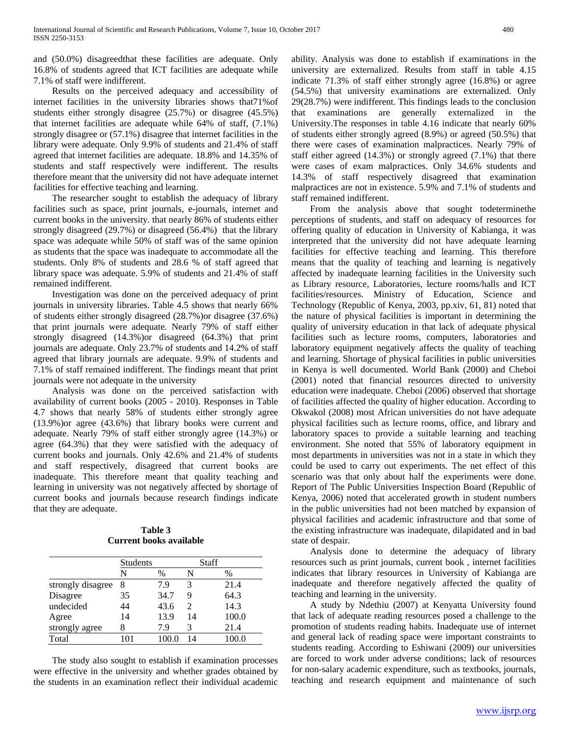and (50.0%) disagreedthat these facilities are adequate. Only 16.8% of students agreed that ICT facilities are adequate while 7.1% of staff were indifferent.

 Results on the perceived adequacy and accessibility of internet facilities in the university libraries shows that71%of students either strongly disagree (25.7%) or disagree (45.5%) that internet facilities are adequate while 64% of staff, (7.1%) strongly disagree or (57.1%) disagree that internet facilities in the library were adequate. Only 9.9% of students and 21.4% of staff agreed that internet facilities are adequate. 18.8% and 14.35% of students and staff respectively were indifferent. The results therefore meant that the university did not have adequate internet facilities for effective teaching and learning.

 The researcher sought to establish the adequacy of library facilities such as space, print journals, e-journals, internet and current books in the university. that nearly 86% of students either strongly disagreed (29.7%) or disagreed (56.4%) that the library space was adequate while 50% of staff was of the same opinion as students that the space was inadequate to accommodate all the students. Only 8% of students and 28.6 % of staff agreed that library space was adequate. 5.9% of students and 21.4% of staff remained indifferent.

 Investigation was done on the perceived adequacy of print journals in university libraries. Table 4.5 shows that nearly 66% of students either strongly disagreed (28.7%)or disagree (37.6%) that print journals were adequate. Nearly 79% of staff either strongly disagreed (14.3%)or disagreed (64.3%) that print journals are adequate. Only 23.7% of students and 14.2% of staff agreed that library journals are adequate. 9.9% of students and 7.1% of staff remained indifferent. The findings meant that print journals were not adequate in the university

 Analysis was done on the perceived satisfaction with availability of current books (2005 - 2010). Responses in Table 4.7 shows that nearly 58% of students either strongly agree (13.9%)or agree (43.6%) that library books were current and adequate. Nearly 79% of staff either strongly agree (14.3%) or agree (64.3%) that they were satisfied with the adequacy of current books and journals. Only 42.6% and 21.4% of students and staff respectively, disagreed that current books are inadequate. This therefore meant that quality teaching and learning in university was not negatively affected by shortage of current books and journals because research findings indicate that they are adequate.

| Table 3                        |  |  |  |  |  |  |
|--------------------------------|--|--|--|--|--|--|
| <b>Current books available</b> |  |  |  |  |  |  |

|                   | <b>Students</b> |      | Staff                       |       |
|-------------------|-----------------|------|-----------------------------|-------|
|                   | N               | $\%$ | N                           | $\%$  |
| strongly disagree | 8               | 7.9  | 3                           | 21.4  |
| Disagree          | 35              | 34.7 | 9                           | 64.3  |
| undecided         | 44              | 43.6 | $\mathcal{D}_{\mathcal{A}}$ | 14.3  |
| Agree             | 14              | 13.9 | 14                          | 100.0 |
| strongly agree    | 8               | 7.9  | 3                           | 21.4  |
| Total             | 101             |      | 14                          | 100.0 |

 The study also sought to establish if examination processes were effective in the university and whether grades obtained by the students in an examination reflect their individual academic ability. Analysis was done to establish if examinations in the university are externalized. Results from staff in table 4.15 indicate 71.3% of staff either strongly agree (16.8%) or agree (54.5%) that university examinations are externalized. Only 29(28.7%) were indifferent. This findings leads to the conclusion that examinations are generally externalized in the University.The responses in table 4.16 indicate that nearly 60% of students either strongly agreed (8.9%) or agreed (50.5%) that there were cases of examination malpractices. Nearly 79% of staff either agreed (14.3%) or strongly agreed (7.1%) that there were cases of exam malpractices. Only 34.6% students and 14.3% of staff respectively disagreed that examination malpractices are not in existence. 5.9% and 7.1% of students and staff remained indifferent.

 From the analysis above that sought todeterminethe perceptions of students, and staff on adequacy of resources for offering quality of education in University of Kabianga, it was interpreted that the university did not have adequate learning facilities for effective teaching and learning. This therefore means that the quality of teaching and learning is negatively affected by inadequate learning facilities in the University such as Library resource, Laboratories, lecture rooms/halls and ICT facilities/resources. Ministry of Education, Science and Technology (Republic of Kenya, 2003, pp.xiv, 61, 81) noted that the nature of physical facilities is important in determining the quality of university education in that lack of adequate physical facilities such as lecture rooms, computers, laboratories and laboratory equipment negatively affects the quality of teaching and learning. Shortage of physical facilities in public universities in Kenya is well documented. World Bank (2000) and Cheboi (2001) noted that financial resources directed to university education were inadequate. Cheboi (2006) observed that shortage of facilities affected the quality of higher education. According to Okwakol (2008) most African universities do not have adequate physical facilities such as lecture rooms, office, and library and laboratory spaces to provide a suitable learning and teaching environment. She noted that 55% of laboratory equipment in most departments in universities was not in a state in which they could be used to carry out experiments. The net effect of this scenario was that only about half the experiments were done. Report of The Public Universities Inspection Board (Republic of Kenya, 2006) noted that accelerated growth in student numbers in the public universities had not been matched by expansion of physical facilities and academic infrastructure and that some of the existing infrastructure was inadequate, dilapidated and in bad state of despair.

 Analysis done to determine the adequacy of library resources such as print journals, current book , internet facilities indicates that library resources in University of Kabianga are inadequate and therefore negatively affected the quality of teaching and learning in the university.

 A study by Ndethiu (2007) at Kenyatta University found that lack of adequate reading resources posed a challenge to the promotion of students reading habits. Inadequate use of internet and general lack of reading space were important constraints to students reading. According to Eshiwani (2009) our universities are forced to work under adverse conditions; lack of resources for non-salary academic expenditure, such as textbooks, journals, teaching and research equipment and maintenance of such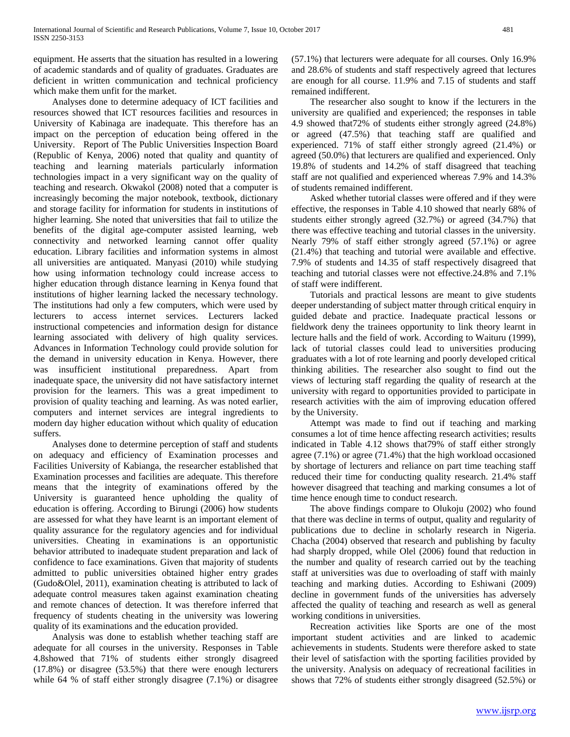equipment. He asserts that the situation has resulted in a lowering of academic standards and of quality of graduates. Graduates are deficient in written communication and technical proficiency which make them unfit for the market.

 Analyses done to determine adequacy of ICT facilities and resources showed that ICT resources facilities and resources in University of Kabinaga are inadequate. This therefore has an impact on the perception of education being offered in the University. Report of The Public Universities Inspection Board (Republic of Kenya, 2006) noted that quality and quantity of teaching and learning materials particularly information technologies impact in a very significant way on the quality of teaching and research. Okwakol (2008) noted that a computer is increasingly becoming the major notebook, textbook, dictionary and storage facility for information for students in institutions of higher learning. She noted that universities that fail to utilize the benefits of the digital age-computer assisted learning, web connectivity and networked learning cannot offer quality education. Library facilities and information systems in almost all universities are antiquated. Manyasi (2010) while studying how using information technology could increase access to higher education through distance learning in Kenya found that institutions of higher learning lacked the necessary technology. The institutions had only a few computers, which were used by lecturers to access internet services. Lecturers lacked instructional competencies and information design for distance learning associated with delivery of high quality services. Advances in Information Technology could provide solution for the demand in university education in Kenya. However, there was insufficient institutional preparedness. Apart from inadequate space, the university did not have satisfactory internet provision for the learners. This was a great impediment to provision of quality teaching and learning. As was noted earlier, computers and internet services are integral ingredients to modern day higher education without which quality of education suffers.

 Analyses done to determine perception of staff and students on adequacy and efficiency of Examination processes and Facilities University of Kabianga, the researcher established that Examination processes and facilities are adequate. This therefore means that the integrity of examinations offered by the University is guaranteed hence upholding the quality of education is offering. According to Birungi (2006) how students are assessed for what they have learnt is an important element of quality assurance for the regulatory agencies and for individual universities. Cheating in examinations is an opportunistic behavior attributed to inadequate student preparation and lack of confidence to face examinations. Given that majority of students admitted to public universities obtained higher entry grades (Gudo&Olel, 2011), examination cheating is attributed to lack of adequate control measures taken against examination cheating and remote chances of detection. It was therefore inferred that frequency of students cheating in the university was lowering quality of its examinations and the education provided.

 Analysis was done to establish whether teaching staff are adequate for all courses in the university. Responses in Table 4.8showed that 71% of students either strongly disagreed (17.8%) or disagree (53.5%) that there were enough lecturers while 64 % of staff either strongly disagree (7.1%) or disagree

(57.1%) that lecturers were adequate for all courses. Only 16.9% and 28.6% of students and staff respectively agreed that lectures are enough for all course. 11.9% and 7.15 of students and staff remained indifferent.

 The researcher also sought to know if the lecturers in the university are qualified and experienced; the responses in table 4.9 showed that72% of students either strongly agreed (24.8%) or agreed (47.5%) that teaching staff are qualified and experienced. 71% of staff either strongly agreed (21.4%) or agreed (50.0%) that lecturers are qualified and experienced. Only 19.8% of students and 14.2% of staff disagreed that teaching staff are not qualified and experienced whereas 7.9% and 14.3% of students remained indifferent.

 Asked whether tutorial classes were offered and if they were effective, the responses in Table 4.10 showed that nearly 68% of students either strongly agreed (32.7%) or agreed (34.7%) that there was effective teaching and tutorial classes in the university. Nearly 79% of staff either strongly agreed (57.1%) or agree (21.4%) that teaching and tutorial were available and effective. 7.9% of students and 14.35 of staff respectively disagreed that teaching and tutorial classes were not effective.24.8% and 7.1% of staff were indifferent.

 Tutorials and practical lessons are meant to give students deeper understanding of subject matter through critical enquiry in guided debate and practice. Inadequate practical lessons or fieldwork deny the trainees opportunity to link theory learnt in lecture halls and the field of work. According to Waituru (1999), lack of tutorial classes could lead to universities producing graduates with a lot of rote learning and poorly developed critical thinking abilities. The researcher also sought to find out the views of lecturing staff regarding the quality of research at the university with regard to opportunities provided to participate in research activities with the aim of improving education offered by the University.

 Attempt was made to find out if teaching and marking consumes a lot of time hence affecting research activities; results indicated in Table 4.12 shows that79% of staff either strongly agree (7.1%) or agree (71.4%) that the high workload occasioned by shortage of lecturers and reliance on part time teaching staff reduced their time for conducting quality research. 21.4% staff however disagreed that teaching and marking consumes a lot of time hence enough time to conduct research.

 The above findings compare to Olukoju (2002) who found that there was decline in terms of output, quality and regularity of publications due to decline in scholarly research in Nigeria. Chacha (2004) observed that research and publishing by faculty had sharply dropped, while Olel (2006) found that reduction in the number and quality of research carried out by the teaching staff at universities was due to overloading of staff with mainly teaching and marking duties. According to Eshiwani (2009) decline in government funds of the universities has adversely affected the quality of teaching and research as well as general working conditions in universities.

 Recreation activities like Sports are one of the most important student activities and are linked to academic achievements in students. Students were therefore asked to state their level of satisfaction with the sporting facilities provided by the university. Analysis on adequacy of recreational facilities in shows that 72% of students either strongly disagreed (52.5%) or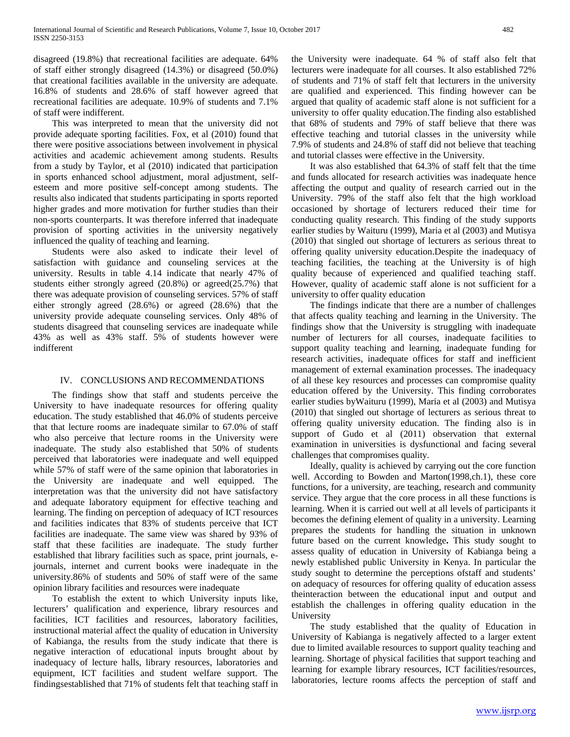disagreed (19.8%) that recreational facilities are adequate. 64% of staff either strongly disagreed (14.3%) or disagreed (50.0%) that creational facilities available in the university are adequate. 16.8% of students and 28.6% of staff however agreed that recreational facilities are adequate. 10.9% of students and 7.1% of staff were indifferent.

 This was interpreted to mean that the university did not provide adequate sporting facilities. Fox, et al (2010) found that there were positive associations between involvement in physical activities and academic achievement among students. Results from a study by Taylor, et al (2010) indicated that participation in sports enhanced school adjustment, moral adjustment, selfesteem and more positive self-concept among students. The results also indicated that students participating in sports reported higher grades and more motivation for further studies than their non-sports counterparts. It was therefore inferred that inadequate provision of sporting activities in the university negatively influenced the quality of teaching and learning.

 Students were also asked to indicate their level of satisfaction with guidance and counseling services at the university. Results in table 4.14 indicate that nearly 47% of students either strongly agreed (20.8%) or agreed(25.7%) that there was adequate provision of counseling services. 57% of staff either strongly agreed (28.6%) or agreed (28.6%) that the university provide adequate counseling services. Only 48% of students disagreed that counseling services are inadequate while 43% as well as 43% staff. 5% of students however were indifferent

# IV. CONCLUSIONS AND RECOMMENDATIONS

 The findings show that staff and students perceive the University to have inadequate resources for offering quality education. The study established that 46.0% of students perceive that that lecture rooms are inadequate similar to 67.0% of staff who also perceive that lecture rooms in the University were inadequate. The study also established that 50% of students perceived that laboratories were inadequate and well equipped while 57% of staff were of the same opinion that laboratories in the University are inadequate and well equipped. The interpretation was that the university did not have satisfactory and adequate laboratory equipment for effective teaching and learning. The finding on perception of adequacy of ICT resources and facilities indicates that 83% of students perceive that ICT facilities are inadequate. The same view was shared by 93% of staff that these facilities are inadequate. The study further established that library facilities such as space, print journals, ejournals, internet and current books were inadequate in the university.86% of students and 50% of staff were of the same opinion library facilities and resources were inadequate

 To establish the extent to which University inputs like, lecturers' qualification and experience, library resources and facilities, ICT facilities and resources, laboratory facilities, instructional material affect the quality of education in University of Kabianga, the results from the study indicate that there is negative interaction of educational inputs brought about by inadequacy of lecture halls, library resources, laboratories and equipment, ICT facilities and student welfare support. The findingsestablished that 71% of students felt that teaching staff in

the University were inadequate. 64 % of staff also felt that lecturers were inadequate for all courses. It also established 72% of students and 71% of staff felt that lecturers in the university are qualified and experienced. This finding however can be argued that quality of academic staff alone is not sufficient for a university to offer quality education.The finding also established that 68% of students and 79% of staff believe that there was effective teaching and tutorial classes in the university while 7.9% of students and 24.8% of staff did not believe that teaching and tutorial classes were effective in the University.

 It was also established that 64.3% of staff felt that the time and funds allocated for research activities was inadequate hence affecting the output and quality of research carried out in the University. 79% of the staff also felt that the high workload occasioned by shortage of lecturers reduced their time for conducting quality research. This finding of the study supports earlier studies by Waituru (1999), Maria et al (2003) and Mutisya (2010) that singled out shortage of lecturers as serious threat to offering quality university education.Despite the inadequacy of teaching facilities, the teaching at the University is of high quality because of experienced and qualified teaching staff. However, quality of academic staff alone is not sufficient for a university to offer quality education

 The findings indicate that there are a number of challenges that affects quality teaching and learning in the University. The findings show that the University is struggling with inadequate number of lecturers for all courses, inadequate facilities to support quality teaching and learning, inadequate funding for research activities, inadequate offices for staff and inefficient management of external examination processes. The inadequacy of all these key resources and processes can compromise quality education offered by the University. This finding corroborates earlier studies byWaituru (1999), Maria et al (2003) and Mutisya (2010) that singled out shortage of lecturers as serious threat to offering quality university education. The finding also is in support of Gudo et al (2011) observation that external examination in universities is dysfunctional and facing several challenges that compromises quality.

 Ideally, quality is achieved by carrying out the core function well. According to Bowden and Marton(1998,ch.1), these core functions, for a university, are teaching, research and community service. They argue that the core process in all these functions is learning. When it is carried out well at all levels of participants it becomes the defining element of quality in a university. Learning prepares the students for handling the situation in unknown future based on the current knowledge**.** This study sought to assess quality of education in University of Kabianga being a newly established public University in Kenya. In particular the study sought to determine the perceptions ofstaff and students' on adequacy of resources for offering quality of education assess theinteraction between the educational input and output and establish the challenges in offering quality education in the University

 The study established that the quality of Education in University of Kabianga is negatively affected to a larger extent due to limited available resources to support quality teaching and learning. Shortage of physical facilities that support teaching and learning for example library resources, ICT facilities/resources, laboratories, lecture rooms affects the perception of staff and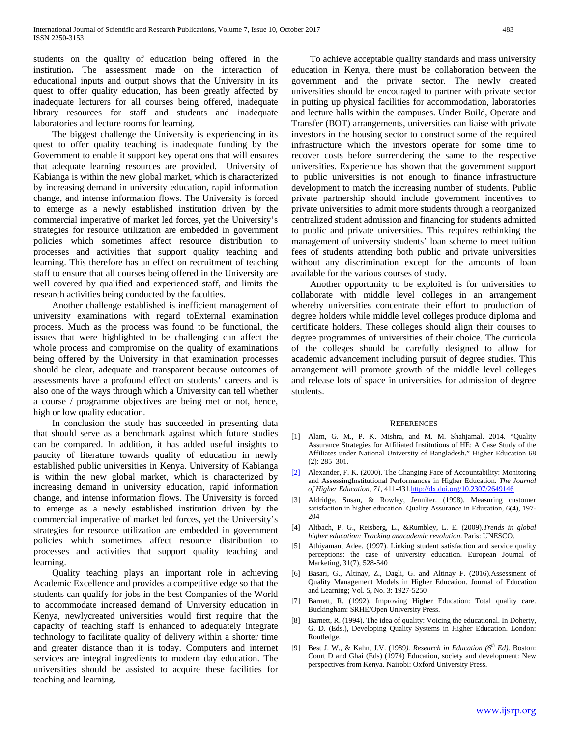students on the quality of education being offered in the institution**.** The assessment made on the interaction of educational inputs and output shows that the University in its quest to offer quality education, has been greatly affected by inadequate lecturers for all courses being offered, inadequate library resources for staff and students and inadequate laboratories and lecture rooms for learning.

 The biggest challenge the University is experiencing in its quest to offer quality teaching is inadequate funding by the Government to enable it support key operations that will ensures that adequate learning resources are provided. University of Kabianga is within the new global market, which is characterized by increasing demand in university education, rapid information change, and intense information flows. The University is forced to emerge as a newly established institution driven by the commercial imperative of market led forces, yet the University's strategies for resource utilization are embedded in government policies which sometimes affect resource distribution to processes and activities that support quality teaching and learning. This therefore has an effect on recruitment of teaching staff to ensure that all courses being offered in the University are well covered by qualified and experienced staff, and limits the research activities being conducted by the faculties.

 Another challenge established is inefficient management of university examinations with regard toExternal examination process. Much as the process was found to be functional, the issues that were highlighted to be challenging can affect the whole process and compromise on the quality of examinations being offered by the University in that examination processes should be clear, adequate and transparent because outcomes of assessments have a profound effect on students' careers and is also one of the ways through which a University can tell whether a course / programme objectives are being met or not, hence, high or low quality education.

 In conclusion the study has succeeded in presenting data that should serve as a benchmark against which future studies can be compared. In addition, it has added useful insights to paucity of literature towards quality of education in newly established public universities in Kenya. University of Kabianga is within the new global market, which is characterized by increasing demand in university education, rapid information change, and intense information flows. The University is forced to emerge as a newly established institution driven by the commercial imperative of market led forces, yet the University's strategies for resource utilization are embedded in government policies which sometimes affect resource distribution to processes and activities that support quality teaching and learning.

 Quality teaching plays an important role in achieving Academic Excellence and provides a competitive edge so that the students can qualify for jobs in the best Companies of the World to accommodate increased demand of University education in Kenya, newlycreated universities would first require that the capacity of teaching staff is enhanced to adequately integrate technology to facilitate quality of delivery within a shorter time and greater distance than it is today. Computers and internet services are integral ingredients to modern day education. The universities should be assisted to acquire these facilities for teaching and learning.

 To achieve acceptable quality standards and mass university education in Kenya, there must be collaboration between the government and the private sector. The newly created universities should be encouraged to partner with private sector in putting up physical facilities for accommodation, laboratories and lecture halls within the campuses. Under Build, Operate and Transfer (BOT) arrangements, universities can liaise with private investors in the housing sector to construct some of the required infrastructure which the investors operate for some time to recover costs before surrendering the same to the respective universities. Experience has shown that the government support to public universities is not enough to finance infrastructure development to match the increasing number of students. Public private partnership should include government incentives to private universities to admit more students through a reorganized centralized student admission and financing for students admitted to public and private universities. This requires rethinking the management of university students' loan scheme to meet tuition fees of students attending both public and private universities without any discrimination except for the amounts of loan available for the various courses of study.

 Another opportunity to be exploited is for universities to collaborate with middle level colleges in an arrangement whereby universities concentrate their effort to production of degree holders while middle level colleges produce diploma and certificate holders. These colleges should align their courses to degree programmes of universities of their choice. The curricula of the colleges should be carefully designed to allow for academic advancement including pursuit of degree studies. This arrangement will promote growth of the middle level colleges and release lots of space in universities for admission of degree students.

#### **REFERENCES**

- [1] Alam, G. M., P. K. Mishra, and M. M. Shahjamal. 2014. "Quality Assurance Strategies for Affiliated Institutions of HE: A Case Study of the Affiliates under National University of Bangladesh." Higher Education 68 (2): 285–301.
- [2] Alexander, F. K. (2000). The Changing Face of Accountability: Monitoring and AssessingInstitutional Performances in Higher Education. *The Journal of Higher Education*, *71*, 411-43[1.http://dx.doi.org/10.2307/2649146](http://dx.doi.org/10.2307/2649146)
- [3] Aldridge, Susan, & Rowley, Jennifer. (1998). Measuring customer satisfaction in higher education. Quality Assurance in Education, 6(4), 197- 204
- [4] Altbach, P. G., Reisberg, L., &Rumbley, L. E. (2009).*Trends in global higher education: Tracking anacademic revolution*. Paris: UNESCO.
- [5] Athiyaman, Adee. (1997). Linking student satisfaction and service quality perceptions: the case of university education. European Journal of Marketing, 31(7), 528-540
- [6] Basari, G., Altinay, Z., Dagli, G. and Altinay F. (2016).Assessment of Quality Management Models in Higher Education. Journal of Education and Learning; Vol. 5, No. 3: 1927-5250
- [7] Barnett, R. (1992). Improving Higher Education: Total quality care. Buckingham: SRHE/Open University Press.
- [8] Barnett, R. (1994). The idea of quality: Voicing the educational. In Doherty, G. D. (Eds.), Developing Quality Systems in Higher Education. London: Routledge.
- [9] Best J. W., & Kahn, J.V. (1989*). Research in Education (6th Ed).* Boston: Court D and Ghai (Eds) (1974) Education, society and development: New perspectives from Kenya. Nairobi: Oxford University Press.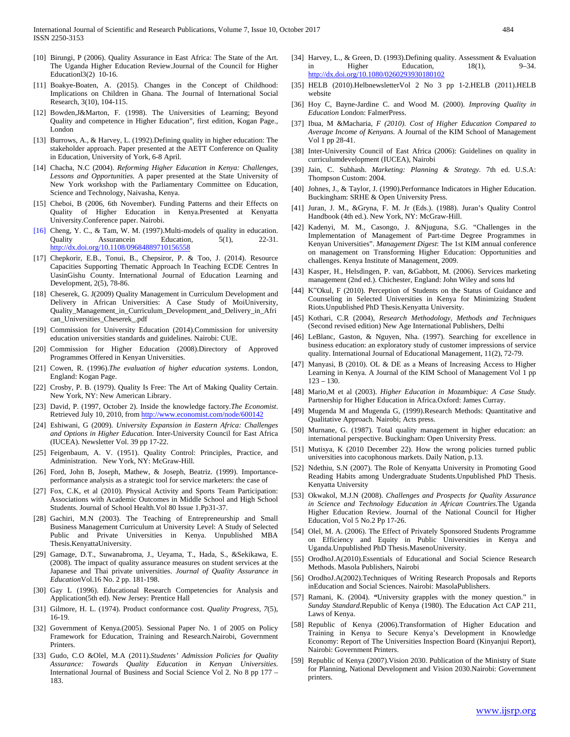- [10] Birungi, P (2006). Quality Assurance in East Africa: The State of the Art. The Uganda Higher Education Review.Journal of the Council for Higher Educationl3(2) 10-16.
- [11] Boakye-Boaten, A. (2015). Changes in the Concept of Childhood: Implications on Children in Ghana. The Journal of International Social Research, 3(10), 104-115.
- [12] Bowden,J&Marton, F. (1998). The Universities of Learning; Beyond Quality and competence in Higher Education", first edition, Kogan Page., London
- [13] Burrows, A., & Harvey, L. (1992). Defining quality in higher education: The stakeholder approach. Paper presented at the AETT Conference on Quality in Education, University of York, 6-8 April.
- [14] Chacha, N.C (2004). *Reforming Higher Education in Kenya: Challenges, Lessons and Opportunities.* A paper presented at the State University of New York workshop with the Parliamentary Committee on Education, Science and Technology, Naivasha, Kenya.
- [15] Cheboi, B (2006, 6th November). Funding Patterns and their Effects on Quality of Higher Education in Kenya.Presented at Kenyatta University.Conference paper. Nairobi.
- [16] Cheng, Y. C., & Tam, W. M. (1997).Multi-models of quality in education. Quality Assurancein Education, 5(1), 22-31. <http://dx.doi.org/10.1108/09684889710156558>
- [17] Chepkorir, E.B., Tonui, B., Chepsiror, P. & Too, J. (2014). Resource Capacities Supporting Thematic Approach In Teaching ECDE Centres In UasinGishu County. International Journal of Education Learning and Development, 2(5), 78-86.
- [18] Cheserek, G. J(2009) Quality Management in Curriculum Development and Delivery in African Universities: A Case Study of MoiUniversity, Quality\_Management\_in\_Curriculum\_Development\_and\_Delivery\_in\_Afri can\_Universities\_Cheserek\_.pdf
- [19] Commission for University Education (2014).Commission for university education universities standards and guidelines. Nairobi: CUE.
- [20] Commission for Higher Education (2008).Directory of Approved Programmes Offered in Kenyan Universities.
- [21] Cowen, R. (1996).*The evaluation of higher education systems*. London, England: Kogan Page.
- [22] Crosby, P. B. (1979). Quality Is Free: The Art of Making Quality Certain. New York, NY: New American Library.
- [23] David, P. (1997, October 2). Inside the knowledge factory.*The Economist*. Retrieved July 10, 2010, fro[m http://www.economist.com/node/600142](http://www.economist.com/node/600142)
- [24] Eshiwani, G (2009). *University Expansion in Eastern Africa: Challenges and Options in Higher Education.* Inter-University Council for East Africa (IUCEA). Newsletter Vol. 39 pp 17-22.
- [25] Feigenbaum, A. V. (1951). Quality Control: Principles, Practice, and Administration. New York, NY: McGraw-Hill.
- [26] Ford, John B, Joseph, Mathew, & Joseph, Beatriz. (1999). Importanceperformance analysis as a strategic tool for service marketers: the case of
- [27] Fox, C.K, et al (2010). Physical Activity and Sports Team Participation: Associations with Academic Outcomes in Middle School and High School Students. Journal of School Health.Vol 80 Issue 1.Pp31-37.
- [28] Gachiri, M.N (2003). The Teaching of Entrepreneurship and Small Business Management Curriculum at University Level: A Study of Selected Public and Private Universities in Kenya. Unpublished MBA Thesis.KenyattaUniversity.
- [29] Gamage, D.T., Suwanabroma, J., Ueyama, T., Hada, S., &Sekikawa, E. (2008). The impact of quality assurance measures on student services at the Japanese and Thai private universities. *Journal of Quality Assurance in Education*Vol.16 No. 2 pp. 181-198.
- [30] Gay L (1996). Educational Research Competencies for Analysis and Application(5th ed). New Jersey: Prentice Hall
- [31] Gilmore, H. L. (1974). Product conformance cost. *Quality Progress*, *7*(5), 16-19.
- [32] Government of Kenya.(2005). Sessional Paper No. 1 of 2005 on Policy Framework for Education, Training and Research.Nairobi, Government Printers.
- [33] Gudo, C.O &Olel, M.A (2011).*Students' Admission Policies for Quality Assurance: Towards Quality Education in Kenyan Universities.*  International Journal of Business and Social Science Vol 2. No 8 pp 177 – 183.
- [34] Harvey, L., & Green, D. (1993).Defining quality. Assessment & Evaluation in Higher Education, 18(1), 9–34. <http://dx.doi.org/10.1080/0260293930180102>
- [35] HELB (2010).HelbnewsletterVol 2 No 3 pp 1-2.HELB (2011).HELB website
- [36] Hoy C, Bayne-Jardine C. and Wood M. (2000). *Improving Quality in Education* London: FalmerPress.
- [37] Ibua, M &Macharia, *F (2010). Cost of Higher Education Compared to Average Income of Kenyans.* A Journal of the KIM School of Management Vol 1 pp 28-41.
- [38] Inter-University Council of East Africa (2006): Guidelines on quality in curriculumdevelopment (IUCEA), Nairobi
- [39] Jain, C. Subhash. *Marketing: Planning & Strategy.* 7th ed. U.S.A: Thompson Custom: 2004.
- [40] Johnes, J., & Taylor, J. (1990). Performance Indicators in Higher Education. Buckingham: SRHE & Open University Press.
- [41] Juran, J. M., &Gryna, F. M. Jr (Eds.). (1988). Juran's Quality Control Handbook (4th ed.). New York, NY: McGraw-Hill.
- [42] Kadenyi, M. M., Casongo, J. &Njuguna, S.G. "Challenges in the Implementation of Management of Part-time Degree Programmes in Kenyan Universities". *Management Digest*: The 1st KIM annual conference on management on Transforming Higher Education: Opportunities and challenges. Kenya Institute of Management, 2009.
- [43] Kasper, H., Helsdingen, P. van, &Gabbott, M. (2006). Services marketing management (2nd ed.). Chichester, England: John Wiley and sons ltd
- [44] K"Okul, F (2010). Perception of Students on the Status of Guidance and Counseling in Selected Universities in Kenya for Minimizing Student Riots.Unpublished PhD Thesis.Kenyatta University.
- [45] Kothari, C.R (2004), *Research Methodology*, *Methods and Techniques*  (Second revised edition) New Age International Publishers, Delhi
- [46] LeBlanc, Gaston, & Nguyen, Nha. (1997). Searching for excellence in business education: an exploratory study of customer impressions of service quality. International Journal of Educational Management, 11(2), 72-79.
- [47] Manyasi, B (2010). OL & DE as a Means of Increasing Access to Higher Learning in Kenya. A Journal of the KIM School of Management Vol 1 pp  $123 - 130.$
- [48] Mario,M et al (2003). *Higher Education in Mozambique: A Case Study.*  Partnership for Higher Education in Africa*.*Oxford: James Curray.
- [49] Mugenda M and Mugenda G, (1999).Research Methods: Quantitative and Qualitative Approach. Nairobi; Acts press.
- [50] Murnane, G. (1987). Total quality management in higher education: an international perspective. Buckingham: Open University Press.
- [51] Mutisya, K (2010 December 22). How the wrong policies turned public universities into cacophonous markets. Daily Nation, p.13.
- [52] Ndethiu, S.N (2007). The Role of Kenyatta University in Promoting Good Reading Habits among Undergraduate Students.Unpublished PhD Thesis. Kenyatta University
- [53] Okwakol, M.J.N (2008). *Challenges and Prospects for Quality Assurance in Science and Technology Education in African Countries.*The Uganda Higher Education Review. Journal of the National Council for Higher Education, Vol 5 No.2 Pp 17-26.
- [54] Olel, M. A. (2006). The Effect of Privately Sponsored Students Programme on Efficiency and Equity in Public Universities in Kenya and Uganda.Unpublished PhD Thesis.MasenoUniversity.
- [55] OrodhoJ.A(2010).Essentials of Educational and Social Science Research Methods. Masola Publishers, Nairobi
- [56] OrodhoJ.A(2002).Techniques of Writing Research Proposals and Reports inEducation and Social Sciences. Nairobi: MasolaPublishers.
- [57] Ramani, K. (2004). *"*University grapples with the money question." in *Sunday Standard*.Republic of Kenya (1980). The Education Act CAP 211, Laws of Kenya.
- [58] Republic of Kenya (2006).Transformation of Higher Education and Training in Kenya to Secure Kenya's Development in Knowledge Economy: Report of The Universities Inspection Board (Kinyanjui Report), Nairobi: Government Printers.
- [59] Republic of Kenya (2007).Vision 2030. Publication of the Ministry of State for Planning, National Development and Vision 2030.Nairobi: Government printers.